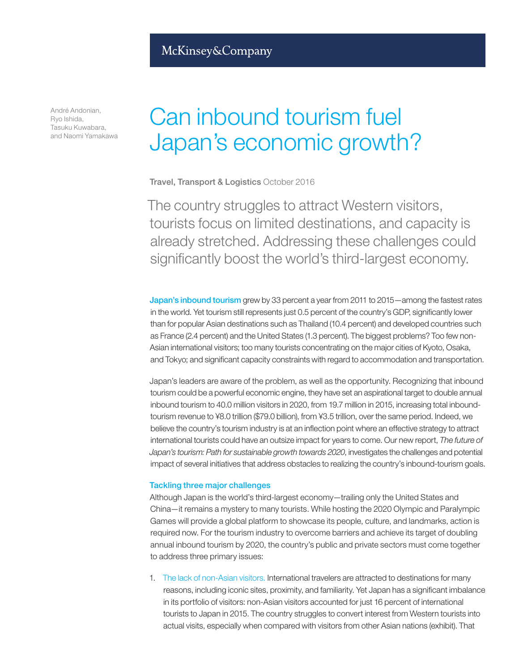André Andonian, Ryo Ishida, Tasuku Kuwabara, and Naomi Yamakawa

## Can inbound tourism fuel Japan's economic growth?

Travel, Transport & Logistics October 2016

The country struggles to attract Western visitors, tourists focus on limited destinations, and capacity is already stretched. Addressing these challenges could significantly boost the world's third-largest economy.

Japan's inbound tourism grew by 33 percent a year from 2011 to 2015—among the fastest rates in the world. Yet tourism still represents just 0.5 percent of the country's GDP, significantly lower than for popular Asian destinations such as Thailand (10.4 percent) and developed countries such as France (2.4 percent) and the United States (1.3 percent). The biggest problems? Too few non-Asian international visitors; too many tourists concentrating on the major cities of Kyoto, Osaka, and Tokyo; and significant capacity constraints with regard to accommodation and transportation.

Japan's leaders are aware of the problem, as well as the opportunity. Recognizing that inbound tourism could be a powerful economic engine, they have set an aspirational target to double annual inbound tourism to 40.0 million visitors in 2020, from 19.7 million in 2015, increasing total inboundtourism revenue to ¥8.0 trillion (\$79.0 billion), from ¥3.5 trillion, over the same period. Indeed, we believe the country's tourism industry is at an inflection point where an effective strategy to attract international tourists could have an outsize impact for years to come. Our new report, *The future of Japan's tourism: Path for sustainable growth towards 2020*, investigates the challenges and potential impact of several initiatives that address obstacles to realizing the country's inbound-tourism goals.

## Tackling three major challenges

Although Japan is the world's third-largest economy—trailing only the United States and China—it remains a mystery to many tourists. While hosting the 2020 Olympic and Paralympic Games will provide a global platform to showcase its people, culture, and landmarks, action is required now. For the tourism industry to overcome barriers and achieve its target of doubling annual inbound tourism by 2020, the country's public and private sectors must come together to address three primary issues:

1. The lack of non-Asian visitors. International travelers are attracted to destinations for many reasons, including iconic sites, proximity, and familiarity. Yet Japan has a significant imbalance in its portfolio of visitors: non-Asian visitors accounted for just 16 percent of international tourists to Japan in 2015. The country struggles to convert interest from Western tourists into actual visits, especially when compared with visitors from other Asian nations (exhibit). That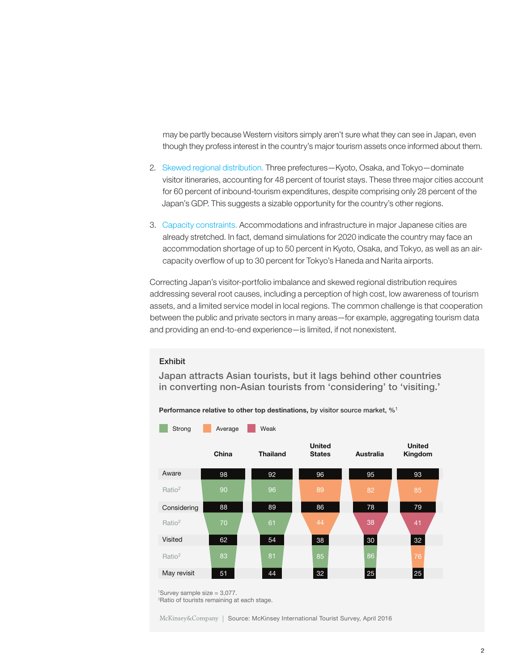may be partly because Western visitors simply aren't sure what they can see in Japan, even though they profess interest in the country's major tourism assets once informed about them.

- 2. Skewed regional distribution. Three prefectures—Kyoto, Osaka, and Tokyo—dominate visitor itineraries, accounting for 48 percent of tourist stays. These three major cities account for 60 percent of inbound-tourism expenditures, despite comprising only 28 percent of the Japan's GDP. This suggests a sizable opportunity for the country's other regions.
- 3. Capacity constraints. Accommodations and infrastructure in major Japanese cities are already stretched. In fact, demand simulations for 2020 indicate the country may face an accommodation shortage of up to 50 percent in Kyoto, Osaka, and Tokyo, as well as an aircapacity overflow of up to 30 percent for Tokyo's Haneda and Narita airports.

Correcting Japan's visitor-portfolio imbalance and skewed regional distribution requires addressing several root causes, including a perception of high cost, low awareness of tourism assets, and a limited service model in local regions. The common challenge is that cooperation between the public and private sectors in many areas—for example, aggregating tourism data and providing an end-to-end experience—is limited, if not nonexistent.

## **Exhibit**

Japan attracts Asian tourists, but it lags behind other countries in converting non-Asian tourists from 'considering' to 'visiting.'

Performance relative to other top destinations, by visitor source market, %<sup>1</sup>



1 Survey sample size = 3,077.

2 Ratio of tourists remaining at each stage.

McKinsey&Company | Source: McKinsey International Tourist Survey, April 2016